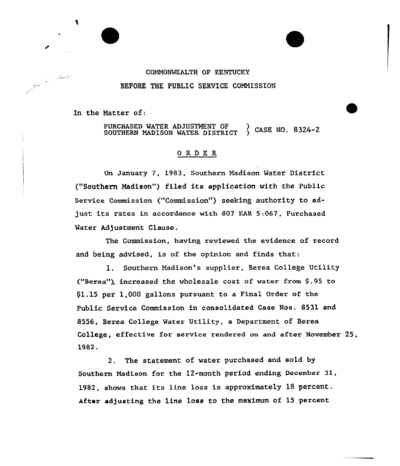### COMMONWEALTH OP KENTUCKY BEFORE THE PUBLIC SERVICE COMNISSION

In the Hatter of:

an Salah Barat, Kabupatén Tingkaléndhin Kabupatén Kaléndhin Kabupatén Kaléndhin Kabupatén Kaléndhin Kaléndhin<br>Kabupatèn Kabupatèn Kabupatèn Kabupatèn Kabupatèn Kabupatèn Kabupatèn Kabupatèn Kabupatèn Kabupatèn Kabupatèn

PURCHASED WATER ADJUSTMENT OF CASE NO. 8324-2 SOUTHERN MADISON WATER DISTRICT

### ORDER

On January 7, 1983, Southern Madison Mater District ("Southern Madison") filed its application with the Public Service Commission ("Commission") seeking authority to adjust its rates in accordance with <sup>807</sup> KAR 5:067, Purchased Mater Adjustment Clause.

The Commission, having reviewed the evidence of record and being advised, is af the opinion and finds that:

l. Southern Madison's supplier, Berea College Utility ("Berea"), increased the wholesale cost of water from  $$.95$  to \$1.15 per 1,000 gallons pursuant to a Final Order of the Public Service Commission in consolidated Case Nos. 8531 and 8556, Berea College Water Utility, a Department of Berea College, effective for service rendered on and after November 25, 1982.

2. The statement of water purchased and sold by Southern Madison for the 12-month period ending December 3I, 1982. shows that its line loss is approximately 18 percent. After adjusting the line loss to the maximum of 15 percent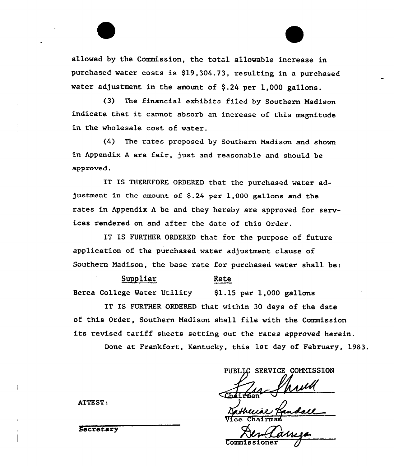allowed by the Commission, the total allowable increase in purchased water costs is \$19,304.73, resulting in a purchased water adjustment in the amount of  $$.24$  per 1,000 gallons.

(3} The financial exhibits filed by Southern Madison indicate that it cannot absorb an increase of this magnitude in the wholesale cost of water.

(4) The rates proposed by Southern Madison and shown in Appendix <sup>A</sup> are fair, just and reasonable and should be approved.

IT IS THEREFORE ORDERED that the purchased water adjustment in the amount of  $$.24$  per 1,000 gallons and the rates in Appendix <sup>A</sup> be and they hereby are approved for services rendered on and after the date of this Order.

IT IS FURTHER ORDERED that for the purpose of future application of the purchased water adjustment clause of Southern Madison, the base rate for purchased water shall be:

#### Supplier Rate

Serea College Mater Utility \$1.15 per 1,000 gallons

IT IS FURTHER ORDERED that within 30 days of the date of this Order, Southern Madison shall file with the Commission its revised tariff sheets setting out the rates approved herein.

Done at Frankfort, Kentucky, this 1st day of February, 1983.

SERVICE COMMISSION

PUBI<br>CD4 Irman

Více Chairma

**Commiss** 

ATTEST:

**Secretary**